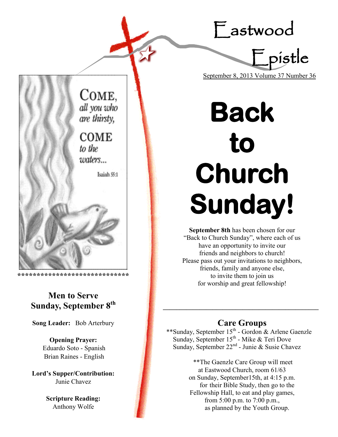Eastwood



COME, all you who are thirsty, **COME** to the waters... Isaiah 55:1

## **Men to Serve Sunday, September 8th**

**\*\*\*\*\*\*\*\*\*\*\*\*\*\*\*\*\*\*\*\*\*\*\*\*\*\*\*\*\***

**Song Leader:** Bob Arterbury

**Opening Prayer:** Eduardo Soto - Spanish Brian Raines - English

**Lord's Supper/Contribution:**  Junie Chavez

> **Scripture Reading:**  Anthony Wolfe

# **Back to Church Sunday!**

**September 8th** has been chosen for our "Back to Church Sunday", where each of us have an opportunity to invite our friends and neighbors to church! Please pass out your invitations to neighbors, friends, family and anyone else, to invite them to join us for worship and great fellowship!

## **Care Groups**

**\_\_\_\_\_\_\_\_\_\_\_\_\_\_\_\_\_\_\_\_\_\_\_\_\_\_\_\_\_\_\_\_\_\_\_\_\_\_\_\_\_\_\_\_\_\_\_**

\*\*Sunday, September 15<sup>th</sup> - Gordon & Arlene Gaenzle Sunday, September 15<sup>th</sup> - Mike & Teri Dove Sunday, September 22<sup>nd</sup> - Junie & Susie Chavez

> \*\*The Gaenzle Care Group will meet at Eastwood Church, room 61/63 on Sunday, September15th, at 4:15 p.m. for their Bible Study, then go to the Fellowship Hall, to eat and play games, from 5:00 p.m. to 7:00 p.m., as planned by the Youth Group.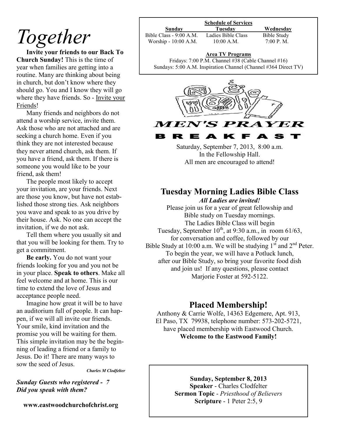## *Together*

**Invite your friends to our Back To Church Sunday!** This is the time of year when families are getting into a routine. Many are thinking about being in church, but don't know where they should go. You and I know they will go where they have friends. So - Invite your Friends!

Many friends and neighbors do not attend a worship service, invite them. Ask those who are not attached and are seeking a church home. Even if you think they are not interested because they never attend church, ask them. If you have a friend, ask them. If there is someone you would like to be your friend, ask them!

The people most likely to accept your invitation, are your friends. Next are those you know, but have not established those strong ties. Ask neighbors you wave and speak to as you drive by their house. Ask. No one can accept the invitation, if we do not ask.

Tell them where you usually sit and that you will be looking for them. Try to get a commitment.

**Be early.** You do not want your friends looking for you and you not be in your place. **Speak to others**. Make all feel welcome and at home. This is our time to extend the love of Jesus and acceptance people need.

Imagine how great it will be to have an auditorium full of people. It can happen, if we will all invite our friends. Your smile, kind invitation and the promise you will be waiting for them. This simple invitation may be the beginning of leading a friend or a family to Jesus. Do it! There are many ways to sow the seed of Jesus.

*Charles M Clodfelter*

*Sunday Guests who registered - 7 Did you speak with them?* 

**www.eastwoodchurchofchrist.org**

| Sunday                  | Tuesdav            | Wednesday   |
|-------------------------|--------------------|-------------|
| Bible Class - 9:00 A.M. | Ladies Bible Class | Bible Study |
| Worship - 10:00 A.M.    | $10:00$ A.M.       | 7:00 P. M.  |

#### **Area TV Programs**

Area TV Programs<br>Fridays: 7:00 P.M. Channel #38 (Cable Channel #16) Sundays: 5:00 A.M. Inspiration Channel (Channel #364 Direct TV)



в K F

> Saturday, September 7, 2013, 8:00 a.m. In the Fellowship Hall. All men are encouraged to attend!

#### **Tuesday Morning Ladies Bible Class** *All Ladies are invited!*

Please join us for a year of great fellowship and Bible study on Tuesday mornings. The Ladies Bible Class will begin Tuesday, September  $10^{th}$ , at 9:30 a.m., in room 61/63, for conversation and coffee, followed by our Bible Study at 10:00 a.m. We will be studying  $1<sup>st</sup>$  and  $2<sup>nd</sup>$  Peter. To begin the year, we will have a Potluck lunch, after our Bible Study, so bring your favorite food dish and join us! If any questions, please contact Marjorie Foster at 592-5122.

### **Placed Membership!**

Anthony & Carrie Wolfe, 14363 Edgemere, Apt. 913, El Paso, TX 79938, telephone number: 573-202-5721, have placed membership with Eastwood Church. **Welcome to the Eastwood Family!**

> **Sunday, September 8, 2013 Speaker** - Charles Clodfelter **Sermon Topic** - *Priesthood of Believers* **Scripture** - 1 Peter 2:5, 9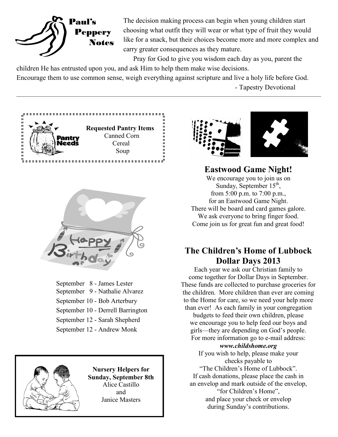

The decision making process can begin when young children start choosing what outfit they will wear or what type of fruit they would like for a snack, but their choices become more and more complex and carry greater consequences as they mature.

Pray for God to give you wisdom each day as you, parent the children He has entrusted upon you, and ask Him to help them make wise decisions.

Encourage them to use common sense, weigh everything against scripture and live a holy life before God. - Tapestry Devotional

 $\overline{\phantom{a}}$  , and the contract of the contract of  $\overline{\phantom{a}}$ 





September 8 - James Lester September 9 - Nathalie Alvarez September 10 - Bob Arterbury September 10 - Derrell Barrington September 12 - Sarah Shepherd September 12 - Andrew Monk



**Nursery Helpers for Sunday, September 8th**  Alice Castillo and Janice Masters





## **Eastwood Game Night!**

We encourage you to join us on Sunday, September  $15<sup>th</sup>$ , from 5:00 p.m. to 7:00 p.m., for an Eastwood Game Night. There will be board and card games galore. We ask everyone to bring finger food. Come join us for great fun and great food!

### **The Children's Home of Lubbock Dollar Days 2013**

Each year we ask our Christian family to come together for Dollar Days in September. These funds are collected to purchase groceries for the children. More children than ever are coming to the Home for care, so we need your help more than ever! As each family in your congregation

budgets to feed their own children, please we encourage you to help feed our boys and girls—they are depending on God's people. For more information go to e-mail address:

#### *www.childshome.org*

If you wish to help, please make your checks payable to "The Children's Home of Lubbock". If cash donations, please place the cash in an envelop and mark outside of the envelop, "for Children's Home", and place your check or envelop during Sunday's contributions.